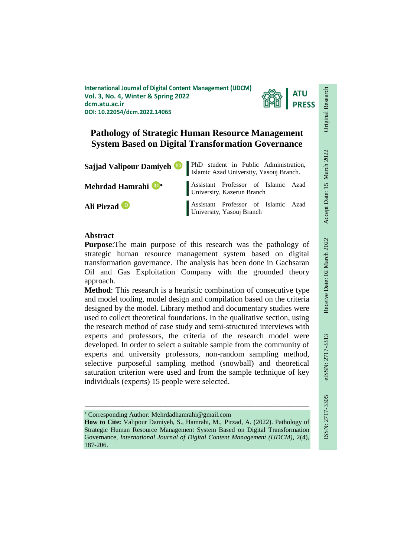**International Journal of Digital Content Management (IJDCM) Vol. 3, No. 4, Winter & Spring 2022 dcm.atu.ac.ir DOI: 10.22054/dcm.2022.14065**



# **Pathology of Strategic Human Resource Management System Based on Digital Transformation Governance**

| Sajjad Valipour Damiyeh <sup>D</sup> | PhD student in Public Administration,<br>Islamic Azad University, Yasouj Branch. |
|--------------------------------------|----------------------------------------------------------------------------------|
| Mehrdad Hamrahi <sup>D+</sup>        | Assistant Professor of Islamic Azad<br>University, Kazerun Branch                |
| Ali Pirzad <sup>io</sup>             | Assistant Professor of Islamic Azad<br>University, Yasouj Branch                 |

### **Abstract**

**Purpose**:The main purpose of this research was the pathology of strategic human resource management system based on digital transformation governance. The analysis has been done in Gachsaran Oil and Gas Exploitation Company with the grounded theory approach.

**Method**: This research is a heuristic combination of consecutive type and model tooling, model design and compilation based on the criteria designed by the model. Library method and documentary studies were used to collect theoretical foundations. In the qualitative section, using the research method of case study and semi-structured interviews with experts and professors, the criteria of the research model were developed. In order to select a suitable sample from the community of experts and university professors, non-random sampling method, selective purposeful sampling method (snowball) and theoretical saturation criterion were used and from the sample technique of key individuals (experts) 15 people were selected.

Corresponding Author: Mehrdadhamrahi@gmail.com

**How to Cite:** Valipour Damiyeh, S., Hamrahi, M., Pirzad, A. (2022). Pathology of Strategic Human Resource Management System Based on Digital Transformation Governance, *International Journal of Digital Content Management (IJDCM)*, 2(4), 187-206.

ـــــــــــــــــــــــــــــــــــــــــــــــــــــــــــــــــــــــــــــــــــــــــــــــــــــــــــــــــــــــــــــ

Original Research

Original Research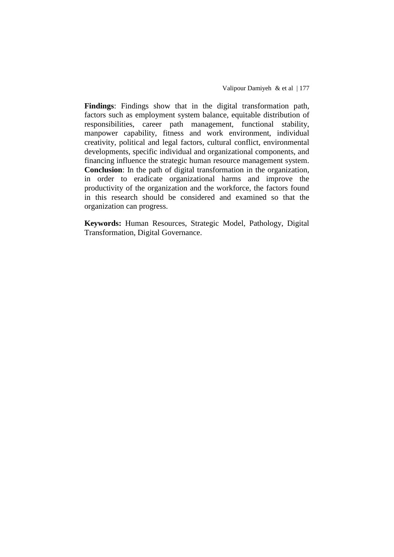**Findings**: Findings show that in the digital transformation path, factors such as employment system balance, equitable distribution of responsibilities, career path management, functional stability, manpower capability, fitness and work environment, individual creativity, political and legal factors, cultural conflict, environmental developments, specific individual and organizational components, and financing influence the strategic human resource management system. **Conclusion**: In the path of digital transformation in the organization, in order to eradicate organizational harms and improve the productivity of the organization and the workforce, the factors found in this research should be considered and examined so that the organization can progress.

**Keywords:** Human Resources, Strategic Model, Pathology, Digital Transformation, Digital Governance.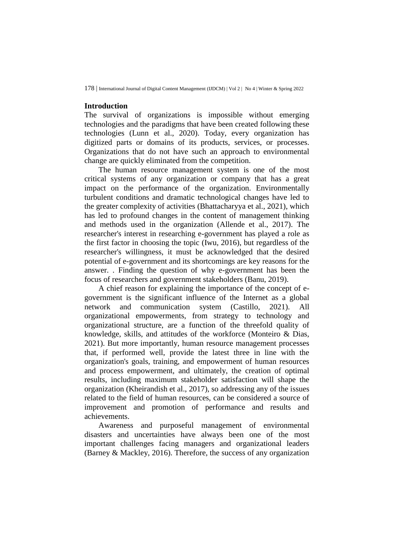#### **Introduction**

The survival of organizations is impossible without emerging technologies and the paradigms that have been created following these technologies (Lunn et al., 2020). Today, every organization has digitized parts or domains of its products, services, or processes. Organizations that do not have such an approach to environmental change are quickly eliminated from the competition.

The human resource management system is one of the most critical systems of any organization or company that has a great impact on the performance of the organization. Environmentally turbulent conditions and dramatic technological changes have led to the greater complexity of activities (Bhattacharyya et al., 2021), which has led to profound changes in the content of management thinking and methods used in the organization (Allende et al., 2017). The researcher's interest in researching e-government has played a role as the first factor in choosing the topic (Iwu, 2016), but regardless of the researcher's willingness, it must be acknowledged that the desired potential of e-government and its shortcomings are key reasons for the answer. . Finding the question of why e-government has been the focus of researchers and government stakeholders (Banu, 2019).

A chief reason for explaining the importance of the concept of egovernment is the significant influence of the Internet as a global network and communication system (Castillo, 2021). All organizational empowerments, from strategy to technology and organizational structure, are a function of the threefold quality of knowledge, skills, and attitudes of the workforce (Monteiro & Dias, 2021). But more importantly, human resource management processes that, if performed well, provide the latest three in line with the organization's goals, training, and empowerment of human resources and process empowerment, and ultimately, the creation of optimal results, including maximum stakeholder satisfaction will shape the organization (Kheirandish et al., 2017), so addressing any of the issues related to the field of human resources, can be considered a source of improvement and promotion of performance and results and achievements.

Awareness and purposeful management of environmental disasters and uncertainties have always been one of the most important challenges facing managers and organizational leaders (Barney & Mackley, 2016). Therefore, the success of any organization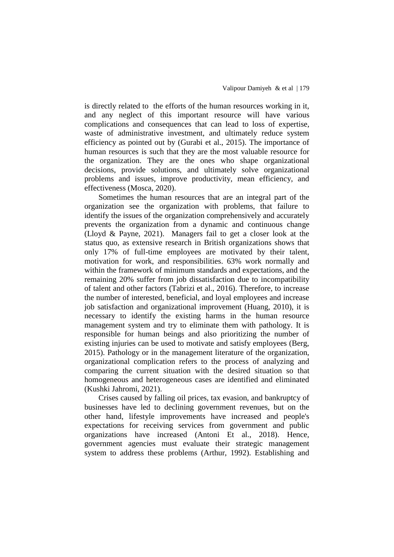is directly related to the efforts of the human resources working in it, and any neglect of this important resource will have various complications and consequences that can lead to loss of expertise, waste of administrative investment, and ultimately reduce system efficiency as pointed out by (Gurabi et al., 2015). The importance of human resources is such that they are the most valuable resource for the organization. They are the ones who shape organizational decisions, provide solutions, and ultimately solve organizational problems and issues, improve productivity, mean efficiency, and effectiveness (Mosca, 2020).

Sometimes the human resources that are an integral part of the organization see the organization with problems, that failure to identify the issues of the organization comprehensively and accurately prevents the organization from a dynamic and continuous change (Lloyd & Payne, 2021). Managers fail to get a closer look at the status quo, as extensive research in British organizations shows that only 17% of full-time employees are motivated by their talent, motivation for work, and responsibilities. 63% work normally and within the framework of minimum standards and expectations, and the remaining 20% suffer from job dissatisfaction due to incompatibility of talent and other factors (Tabrizi et al., 2016). Therefore, to increase the number of interested, beneficial, and loyal employees and increase job satisfaction and organizational improvement (Huang, 2010), it is necessary to identify the existing harms in the human resource management system and try to eliminate them with pathology. It is responsible for human beings and also prioritizing the number of existing injuries can be used to motivate and satisfy employees (Berg, 2015). Pathology or in the management literature of the organization, organizational complication refers to the process of analyzing and comparing the current situation with the desired situation so that homogeneous and heterogeneous cases are identified and eliminated (Kushki Jahromi, 2021).

Crises caused by falling oil prices, tax evasion, and bankruptcy of businesses have led to declining government revenues, but on the other hand, lifestyle improvements have increased and people's expectations for receiving services from government and public organizations have increased (Antoni Et al., 2018). Hence, government agencies must evaluate their strategic management system to address these problems (Arthur, 1992). Establishing and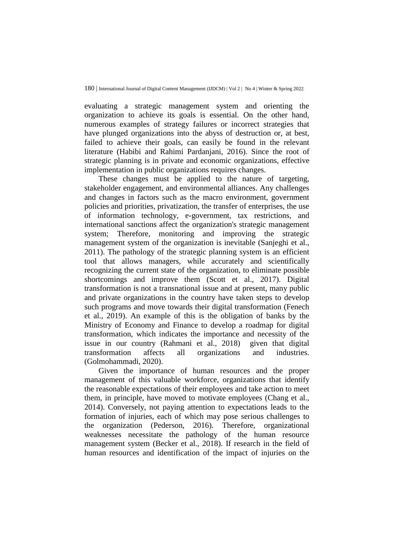evaluating a strategic management system and orienting the organization to achieve its goals is essential. On the other hand, numerous examples of strategy failures or incorrect strategies that have plunged organizations into the abyss of destruction or, at best, failed to achieve their goals, can easily be found in the relevant literature (Habibi and Rahimi Pardanjani, 2016). Since the root of strategic planning is in private and economic organizations, effective implementation in public organizations requires changes.

These changes must be applied to the nature of targeting, stakeholder engagement, and environmental alliances. Any challenges and changes in factors such as the macro environment, government policies and priorities, privatization, the transfer of enterprises, the use of information technology, e-government, tax restrictions, and international sanctions affect the organization's strategic management system; Therefore, monitoring and improving the strategic management system of the organization is inevitable (Sanjeghi et al., 2011). The pathology of the strategic planning system is an efficient tool that allows managers, while accurately and scientifically recognizing the current state of the organization, to eliminate possible shortcomings and improve them (Scott et al., 2017). Digital transformation is not a transnational issue and at present, many public and private organizations in the country have taken steps to develop such programs and move towards their digital transformation (Fenech et al., 2019). An example of this is the obligation of banks by the Ministry of Economy and Finance to develop a roadmap for digital transformation, which indicates the importance and necessity of the issue in our country (Rahmani et al., 2018) given that digital transformation affects all organizations and industries. (Golmohammadi, 2020).

Given the importance of human resources and the proper management of this valuable workforce, organizations that identify the reasonable expectations of their employees and take action to meet them, in principle, have moved to motivate employees (Chang et al., 2014). Conversely, not paying attention to expectations leads to the formation of injuries, each of which may pose serious challenges to the organization (Pederson, 2016). Therefore, organizational weaknesses necessitate the pathology of the human resource management system (Becker et al., 2018). If research in the field of human resources and identification of the impact of injuries on the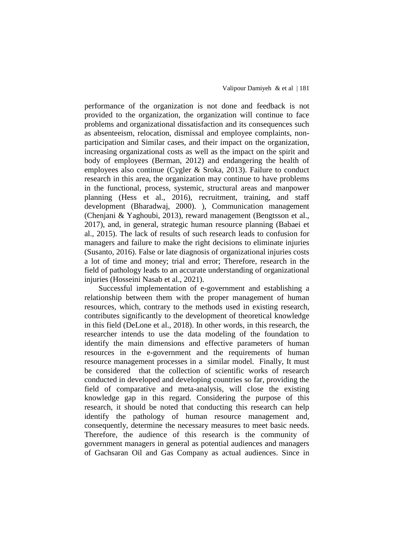performance of the organization is not done and feedback is not provided to the organization, the organization will continue to face problems and organizational dissatisfaction and its consequences such as absenteeism, relocation, dismissal and employee complaints, nonparticipation and Similar cases, and their impact on the organization, increasing organizational costs as well as the impact on the spirit and body of employees (Berman, 2012) and endangering the health of employees also continue (Cygler & Sroka, 2013). Failure to conduct research in this area, the organization may continue to have problems in the functional, process, systemic, structural areas and manpower planning (Hess et al., 2016), recruitment, training, and staff development (Bharadwaj, 2000). ), Communication management (Chenjani & Yaghoubi, 2013), reward management (Bengtsson et al., 2017), and, in general, strategic human resource planning (Babaei et al., 2015). The lack of results of such research leads to confusion for managers and failure to make the right decisions to eliminate injuries (Susanto, 2016). False or late diagnosis of organizational injuries costs a lot of time and money; trial and error; Therefore, research in the field of pathology leads to an accurate understanding of organizational injuries (Hosseini Nasab et al., 2021).

Successful implementation of e-government and establishing a relationship between them with the proper management of human resources, which, contrary to the methods used in existing research, contributes significantly to the development of theoretical knowledge in this field (DeLone et al., 2018). In other words, in this research, the researcher intends to use the data modeling of the foundation to identify the main dimensions and effective parameters of human resources in the e-government and the requirements of human resource management processes in a similar model. Finally, It must be considered that the collection of scientific works of research conducted in developed and developing countries so far, providing the field of comparative and meta-analysis, will close the existing knowledge gap in this regard. Considering the purpose of this research, it should be noted that conducting this research can help identify the pathology of human resource management and, consequently, determine the necessary measures to meet basic needs. Therefore, the audience of this research is the community of government managers in general as potential audiences and managers of Gachsaran Oil and Gas Company as actual audiences. Since in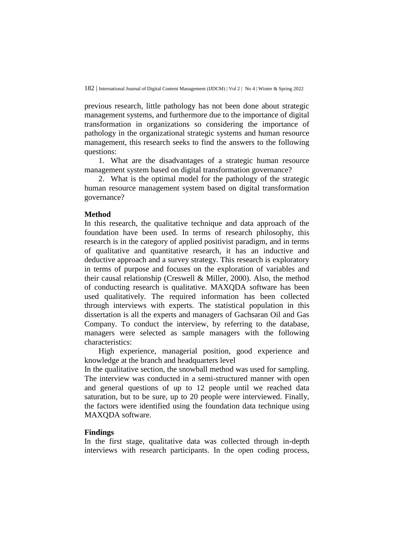previous research, little pathology has not been done about strategic management systems, and furthermore due to the importance of digital transformation in organizations so considering the importance of pathology in the organizational strategic systems and human resource management, this research seeks to find the answers to the following questions:

1. What are the disadvantages of a strategic human resource management system based on digital transformation governance?

2. What is the optimal model for the pathology of the strategic human resource management system based on digital transformation governance?

### **Method**

In this research, the qualitative technique and data approach of the foundation have been used. In terms of research philosophy, this research is in the category of applied positivist paradigm, and in terms of qualitative and quantitative research, it has an inductive and deductive approach and a survey strategy. This research is exploratory in terms of purpose and focuses on the exploration of variables and their causal relationship (Creswell & Miller, 2000). Also, the method of conducting research is qualitative. MAXQDA software has been used qualitatively. The required information has been collected through interviews with experts. The statistical population in this dissertation is all the experts and managers of Gachsaran Oil and Gas Company. To conduct the interview, by referring to the database, managers were selected as sample managers with the following characteristics:

High experience, managerial position, good experience and knowledge at the branch and headquarters level

In the qualitative section, the snowball method was used for sampling. The interview was conducted in a semi-structured manner with open and general questions of up to 12 people until we reached data saturation, but to be sure, up to 20 people were interviewed. Finally, the factors were identified using the foundation data technique using MAXQDA software.

### **Findings**

In the first stage, qualitative data was collected through in-depth interviews with research participants. In the open coding process,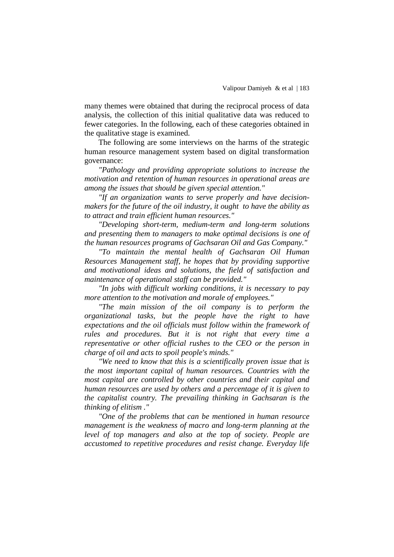many themes were obtained that during the reciprocal process of data analysis, the collection of this initial qualitative data was reduced to fewer categories. In the following, each of these categories obtained in the qualitative stage is examined.

The following are some interviews on the harms of the strategic human resource management system based on digital transformation governance:

*"Pathology and providing appropriate solutions to increase the motivation and retention of human resources in operational areas are among the issues that should be given special attention."*

*"If an organization wants to serve properly and have decisionmakers for the future of the oil industry, it ought to have the ability as to attract and train efficient human resources."*

*"Developing short-term, medium-term and long-term solutions and presenting them to managers to make optimal decisions is one of the human resources programs of Gachsaran Oil and Gas Company."*

*"To maintain the mental health of Gachsaran Oil Human Resources Management staff, he hopes that by providing supportive and motivational ideas and solutions, the field of satisfaction and maintenance of operational staff can be provided."*

*"In jobs with difficult working conditions, it is necessary to pay more attention to the motivation and morale of employees."*

*"The main mission of the oil company is to perform the organizational tasks, but the people have the right to have expectations and the oil officials must follow within the framework of rules and procedures. But it is not right that every time a representative or other official rushes to the CEO or the person in charge of oil and acts to spoil people's minds."*

*"We need to know that this is a scientifically proven issue that is the most important capital of human resources. Countries with the most capital are controlled by other countries and their capital and human resources are used by others and a percentage of it is given to the capitalist country. The prevailing thinking in Gachsaran is the thinking of elitism ."*

*"One of the problems that can be mentioned in human resource management is the weakness of macro and long-term planning at the level of top managers and also at the top of society. People are accustomed to repetitive procedures and resist change. Everyday life*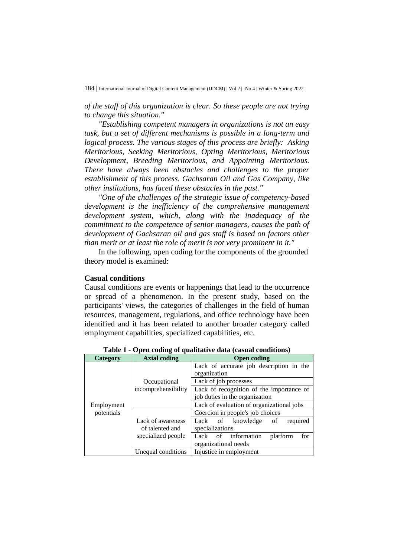*of the staff of this organization is clear. So these people are not trying to change this situation."*

*"Establishing competent managers in organizations is not an easy task, but a set of different mechanisms is possible in a long-term and logical process. The various stages of this process are briefly: Asking Meritorious, Seeking Meritorious, Opting Meritorious, Meritorious Development, Breeding Meritorious, and Appointing Meritorious. There have always been obstacles and challenges to the proper establishment of this process. Gachsaran Oil and Gas Company, like other institutions, has faced these obstacles in the past."*

*"One of the challenges of the strategic issue of competency-based development is the inefficiency of the comprehensive management development system, which, along with the inadequacy of the commitment to the competence of senior managers, causes the path of development of Gachsaran oil and gas staff is based on factors other than merit or at least the role of merit is not very prominent in it."*

In the following, open coding for the components of the grounded theory model is examined:

#### **Casual conditions**

Causal conditions are events or happenings that lead to the occurrence or spread of a phenomenon. In the present study, based on the participants' views, the categories of challenges in the field of human resources, management, regulations, and office technology have been identified and it has been related to another broader category called employment capabilities, specialized capabilities, etc.

| Category   | <b>Axial coding</b> | <b>Open coding</b>                        |
|------------|---------------------|-------------------------------------------|
|            |                     | Lack of accurate job description in the   |
|            |                     | organization                              |
|            | Occupational        | Lack of job processes                     |
|            | incomprehensibility | Lack of recognition of the importance of  |
|            |                     | job duties in the organization            |
| Employment |                     | Lack of evaluation of organizational jobs |
| potentials |                     | Coercion in people's job choices          |
|            | Lack of awareness   | Lack of knowledge<br>of<br>required       |
|            | of talented and     | specializations                           |
|            | specialized people  | for<br>information<br>platform<br>Lack of |
|            |                     | organizational needs                      |
|            | Unequal conditions  | Injustice in employment                   |

**Table 1 - Open coding of qualitative data (casual conditions)**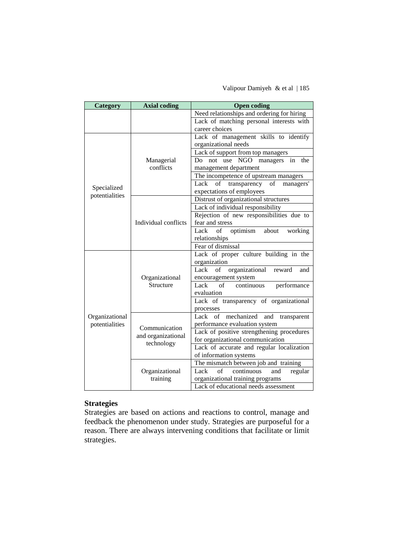Valipour Damiyeh & et al | 185

| Category                         | <b>Axial coding</b>        | <b>Open coding</b>                                 |
|----------------------------------|----------------------------|----------------------------------------------------|
|                                  |                            | Need relationships and ordering for hiring         |
|                                  |                            | Lack of matching personal interests with           |
|                                  |                            | career choices                                     |
|                                  |                            | Lack of management skills to identify              |
|                                  |                            | organizational needs                               |
|                                  |                            | Lack of support from top managers                  |
|                                  | Managerial                 | not use NGO managers in<br>Do<br>the               |
|                                  | conflicts                  | management department                              |
|                                  |                            | The incompetence of upstream managers              |
| Specialized                      |                            | Lack<br>of<br>transparency of<br>managers'         |
| potentialities                   |                            | expectations of employees                          |
|                                  |                            | Distrust of organizational structures              |
|                                  |                            | Lack of individual responsibility                  |
|                                  |                            | Rejection of new responsibilities due to           |
|                                  | Individual conflicts       | fear and stress                                    |
|                                  |                            | optimism<br>Lack<br>of<br>about<br>working         |
|                                  |                            | relationships                                      |
|                                  |                            | Fear of dismissal                                  |
|                                  |                            | Lack of proper culture building in the             |
|                                  |                            | organization                                       |
|                                  |                            | Lack<br>of<br>organizational<br>reward<br>and      |
|                                  | Organizational             | encouragement system                               |
|                                  | Structure                  | of<br>Lack<br>continuous<br>performance            |
|                                  |                            | evaluation                                         |
|                                  |                            | Lack of transparency of organizational             |
|                                  |                            | processes                                          |
| Organizational<br>potentialities |                            | mechanized and transparent<br>Lack of              |
|                                  | Communication              | performance evaluation system                      |
|                                  | and organizational         | Lack of positive strengthening procedures          |
|                                  | technology                 | for organizational communication                   |
|                                  |                            | Lack of accurate and regular localization          |
|                                  |                            | of information systems                             |
|                                  |                            | The mismatch between job and training              |
|                                  | Organizational<br>training | Lack<br>$\sigma$ f<br>continuous<br>regular<br>and |
|                                  |                            | organizational training programs                   |
|                                  |                            | Lack of educational needs assessment               |

## **Strategies**

Strategies are based on actions and reactions to control, manage and feedback the phenomenon under study. Strategies are purposeful for a reason. There are always intervening conditions that facilitate or limit strategies.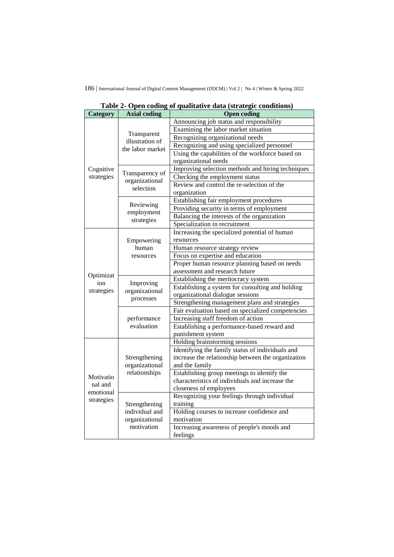| Category             | <b>Axial coding</b>                              | <b>Open coding</b>                                 |
|----------------------|--------------------------------------------------|----------------------------------------------------|
|                      |                                                  | Announcing job status and responsibility           |
|                      |                                                  | Examining the labor market situation               |
|                      | Transparent<br>illustration of                   | Recognizing organizational needs                   |
|                      | the labor market                                 | Recognizing and using specialized personnel        |
|                      |                                                  | Using the capabilities of the workforce based on   |
|                      |                                                  | organizational needs                               |
| Cognitive            |                                                  | Improving selection methods and hiring techniques  |
| strategies           | Transparency of                                  | Checking the employment status                     |
|                      | organizational<br>selection                      | Review and control the re-selection of the         |
|                      |                                                  | organization                                       |
|                      |                                                  | Establishing fair employment procedures            |
|                      | Reviewing                                        | Providing security in terms of employment          |
|                      | employment                                       | Balancing the interests of the organization        |
|                      | strategies                                       | Specialization in recruitment                      |
|                      |                                                  | Increasing the specialized potential of human      |
|                      | Empowering                                       | resources                                          |
|                      | human                                            | Human resource strategy review                     |
|                      | resources                                        | Focus on expertise and education                   |
|                      |                                                  | Proper human resource planning based on needs      |
|                      |                                                  | assessment and research future                     |
| Optimizat            |                                                  | Establishing the meritocracy system                |
| ion                  | Improving                                        | Establishing a system for consulting and holding   |
| strategies           | organizational                                   | organizational dialogue sessions                   |
|                      | processes                                        | Strengthening management plans and strategies      |
|                      |                                                  | Fair evaluation based on specialized competencies  |
|                      | performance                                      | Increasing staff freedom of action                 |
|                      | evaluation                                       | Establishing a performance-based reward and        |
|                      |                                                  | punishment system                                  |
|                      |                                                  | Holding brainstorming sessions                     |
|                      | Strengthening<br>organizational<br>relationships | Identifying the family status of individuals and   |
|                      |                                                  | increase the relationship between the organization |
|                      |                                                  | and the family                                     |
| Motivatio<br>nal and |                                                  | Establishing group meetings to identify the        |
|                      |                                                  | characteristics of individuals and increase the    |
| emotional            |                                                  | closeness of employees                             |
| strategies           |                                                  | Recognizing your feelings through individual       |
|                      | Strengthening                                    | training                                           |
|                      | individual and                                   | Holding courses to increase confidence and         |
|                      | organizational                                   | motivation                                         |
|                      | motivation                                       | Increasing awareness of people's moods and         |
|                      |                                                  | feelings                                           |

**Table 2- Open coding of qualitative data (strategic conditions)**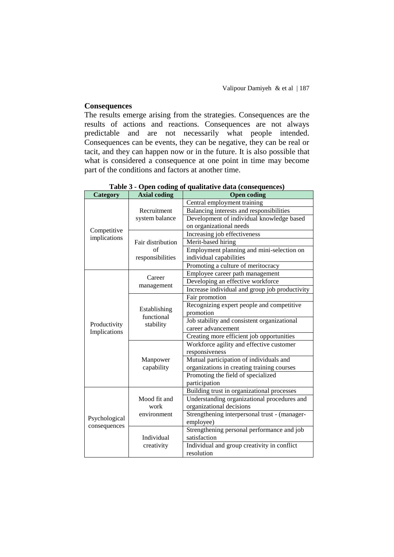### **Consequences**

The results emerge arising from the strategies. Consequences are the results of actions and reactions. Consequences are not always predictable and are not necessarily what people intended. Consequences can be events, they can be negative, they can be real or tacit, and they can happen now or in the future. It is also possible that what is considered a consequence at one point in time may become part of the conditions and factors at another time.

| Category                      | <b>Axial coding</b>                     | <b>Open coding</b>                             |
|-------------------------------|-----------------------------------------|------------------------------------------------|
|                               |                                         | Central employment training                    |
|                               | Recruitment                             | Balancing interests and responsibilities       |
|                               | system balance                          | Development of individual knowledge based      |
| Competitive                   |                                         | on organizational needs                        |
| implications                  |                                         | Increasing job effectiveness                   |
|                               | Fair distribution                       | Merit-based hiring                             |
|                               | of                                      | Employment planning and mini-selection on      |
|                               | responsibilities                        | individual capabilities                        |
|                               |                                         | Promoting a culture of meritocracy             |
|                               | Career                                  | Employee career path management                |
|                               |                                         | Developing an effective workforce              |
|                               | management                              | Increase individual and group job productivity |
|                               |                                         | Fair promotion                                 |
|                               |                                         | Recognizing expert people and competitive      |
|                               | Establishing<br>functional<br>stability | promotion                                      |
| Productivity                  |                                         | Job stability and consistent organizational    |
| Implications                  |                                         | career advancement                             |
|                               |                                         | Creating more efficient job opportunities      |
|                               | Manpower<br>capability                  | Workforce agility and effective customer       |
|                               |                                         | responsiveness                                 |
|                               |                                         | Mutual participation of individuals and        |
|                               |                                         | organizations in creating training courses     |
|                               |                                         | Promoting the field of specialized             |
|                               |                                         | participation                                  |
| Psychological<br>consequences |                                         | Building trust in organizational processes     |
|                               | Mood fit and                            | Understanding organizational procedures and    |
|                               | work                                    | organizational decisions                       |
|                               | environment                             | Strengthening interpersonal trust - (manager-  |
|                               |                                         | employee)                                      |
|                               |                                         | Strengthening personal performance and job     |
|                               | Individual                              | satisfaction                                   |
|                               | creativity                              | Individual and group creativity in conflict    |
|                               |                                         | resolution                                     |

**Table 3 - Open coding of qualitative data (consequences)**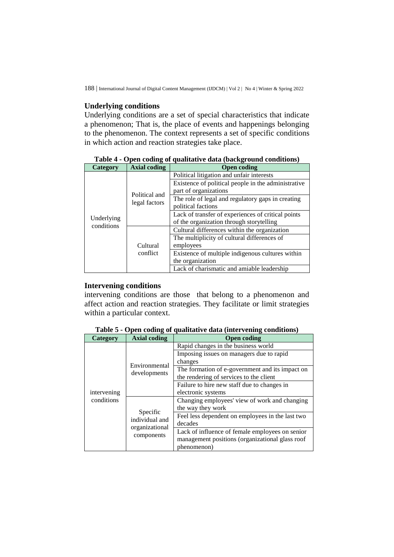### **Underlying conditions**

Underlying conditions are a set of special characteristics that indicate a phenomenon; That is, the place of events and happenings belonging to the phenomenon. The context represents a set of specific conditions in which action and reaction strategies take place.

| Category                 | <b>Axial coding</b>  | <b>Open coding</b>                                  |
|--------------------------|----------------------|-----------------------------------------------------|
|                          | Political and        | Political litigation and unfair interests           |
|                          |                      | Existence of political people in the administrative |
|                          |                      | part of organizations                               |
|                          |                      | The role of legal and regulatory gaps in creating   |
|                          | legal factors        | political factions                                  |
|                          |                      | Lack of transfer of experiences of critical points  |
| Underlying<br>conditions | Cultural<br>conflict | of the organization through storytelling            |
|                          |                      | Cultural differences within the organization        |
|                          |                      | The multiplicity of cultural differences of         |
|                          |                      | employees                                           |
|                          |                      | Existence of multiple indigenous cultures within    |
|                          |                      | the organization                                    |
|                          |                      | Lack of charismatic and amiable leadership          |

**Table 4 - Open coding of qualitative data (background conditions)**

### **Intervening conditions**

intervening conditions are those that belong to a phenomenon and affect action and reaction strategies. They facilitate or limit strategies within a particular context.

| Category    | $\overline{\phantom{a}}$<br><b>Axial coding</b>            | <b>Open coding</b>                               |
|-------------|------------------------------------------------------------|--------------------------------------------------|
|             | Environmental<br>developments                              | Rapid changes in the business world              |
|             |                                                            | Imposing issues on managers due to rapid         |
|             |                                                            | changes                                          |
| intervening |                                                            | The formation of e-government and its impact on  |
|             |                                                            | the rendering of services to the client          |
|             |                                                            | Failure to hire new staff due to changes in      |
|             |                                                            | electronic systems                               |
| conditions  |                                                            | Changing employees' view of work and changing    |
|             | Specific<br>individual and<br>organizational<br>components | the way they work                                |
|             |                                                            | Feel less dependent on employees in the last two |
|             |                                                            | decades                                          |
|             |                                                            | Lack of influence of female employees on senior  |
|             |                                                            | management positions (organizational glass roof  |
|             |                                                            | phenomenon)                                      |

**Table 5 - Open coding of qualitative data (intervening conditions)**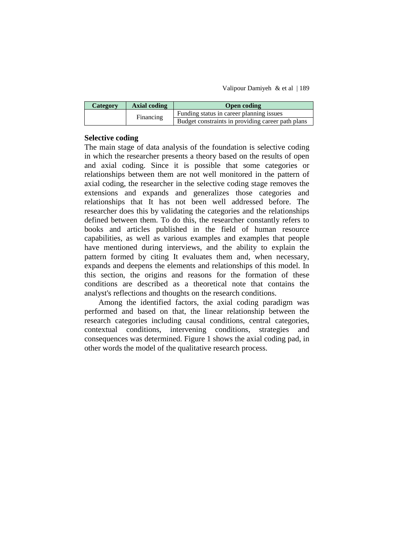| <b>Category</b> | Axial coding | <b>Open coding</b>                                |
|-----------------|--------------|---------------------------------------------------|
|                 | Financing    | Funding status in career planning issues          |
|                 |              | Budget constraints in providing career path plans |

### **Selective coding**

The main stage of data analysis of the foundation is selective coding in which the researcher presents a theory based on the results of open and axial coding. Since it is possible that some categories or relationships between them are not well monitored in the pattern of axial coding, the researcher in the selective coding stage removes the extensions and expands and generalizes those categories and relationships that It has not been well addressed before. The researcher does this by validating the categories and the relationships defined between them. To do this, the researcher constantly refers to books and articles published in the field of human resource capabilities, as well as various examples and examples that people have mentioned during interviews, and the ability to explain the pattern formed by citing It evaluates them and, when necessary, expands and deepens the elements and relationships of this model. In this section, the origins and reasons for the formation of these conditions are described as a theoretical note that contains the analyst's reflections and thoughts on the research conditions.

Among the identified factors, the axial coding paradigm was performed and based on that, the linear relationship between the research categories including causal conditions, central categories, contextual conditions, intervening conditions, strategies and consequences was determined. Figure 1 shows the axial coding pad, in other words the model of the qualitative research process.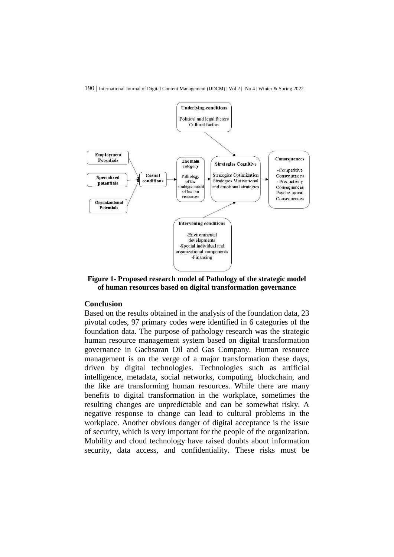

190 | International Journal of Digital Content Management (IJDCM) | Vol 2 | No 4 | Winter & Spring 2022

**Figure 1- Proposed research model of Pathology of the strategic model of human resources based on digital transformation governance**

#### **Conclusion**

Based on the results obtained in the analysis of the foundation data, 23 pivotal codes, 97 primary codes were identified in 6 categories of the foundation data. The purpose of pathology research was the strategic human resource management system based on digital transformation governance in Gachsaran Oil and Gas Company. Human resource management is on the verge of a major transformation these days, driven by digital technologies. Technologies such as artificial intelligence, metadata, social networks, computing, blockchain, and the like are transforming human resources. While there are many benefits to digital transformation in the workplace, sometimes the resulting changes are unpredictable and can be somewhat risky. A negative response to change can lead to cultural problems in the workplace. Another obvious danger of digital acceptance is the issue of security, which is very important for the people of the organization. Mobility and cloud technology have raised doubts about information security, data access, and confidentiality. These risks must be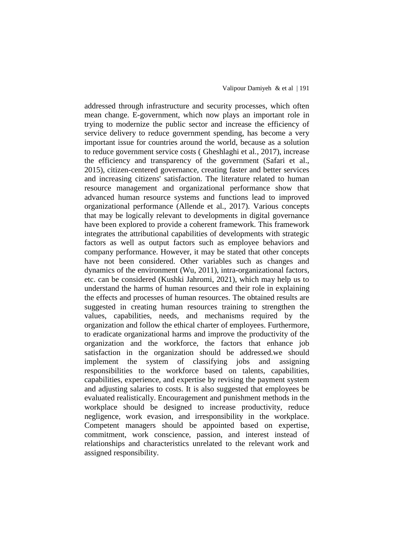addressed through infrastructure and security processes, which often mean change. E-government, which now plays an important role in trying to modernize the public sector and increase the efficiency of service delivery to reduce government spending, has become a very important issue for countries around the world, because as a solution to reduce government service costs ( Gheshlaghi et al., 2017), increase the efficiency and transparency of the government (Safari et al., 2015), citizen-centered governance, creating faster and better services and increasing citizens' satisfaction. The literature related to human resource management and organizational performance show that advanced human resource systems and functions lead to improved organizational performance (Allende et al., 2017). Various concepts that may be logically relevant to developments in digital governance have been explored to provide a coherent framework. This framework integrates the attributional capabilities of developments with strategic factors as well as output factors such as employee behaviors and company performance. However, it may be stated that other concepts have not been considered. Other variables such as changes and dynamics of the environment (Wu, 2011), intra-organizational factors, etc. can be considered (Kushki Jahromi, 2021), which may help us to understand the harms of human resources and their role in explaining the effects and processes of human resources. The obtained results are suggested in creating human resources training to strengthen the values, capabilities, needs, and mechanisms required by the organization and follow the ethical charter of employees. Furthermore, to eradicate organizational harms and improve the productivity of the organization and the workforce, the factors that enhance job satisfaction in the organization should be addressed.we should implement the system of classifying jobs and assigning responsibilities to the workforce based on talents, capabilities, capabilities, experience, and expertise by revising the payment system and adjusting salaries to costs. It is also suggested that employees be evaluated realistically. Encouragement and punishment methods in the workplace should be designed to increase productivity, reduce negligence, work evasion, and irresponsibility in the workplace. Competent managers should be appointed based on expertise, commitment, work conscience, passion, and interest instead of relationships and characteristics unrelated to the relevant work and assigned responsibility.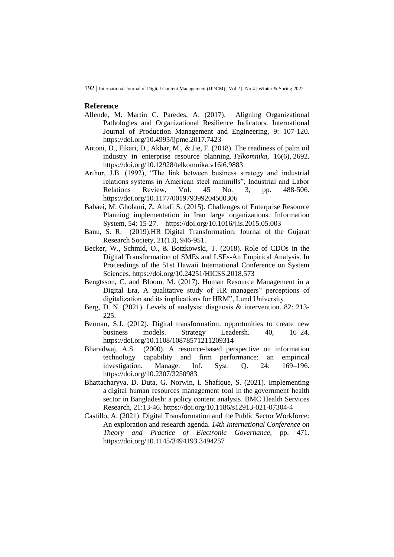#### **Reference**

- Allende, M. Martin C. Paredes, A. (2017). Aligning Organizational Pathologies and Organizational Resilience Indicators. International Journal of Production Management and Engineering, 9: 107-120. <https://doi.org/10.4995/ijpme.2017.7423>
- Antoni, D., Fikari, D., Akbar, M., & Jie, F. (2018). The readiness of palm oil industry in enterprise resource planning. *Telkomnika*, 16(6), 2692. <https://doi.org/10.12928/telkomnika.v16i6.9883>
- Arthur, J.B. (1992), "The link between business strategy and industrial relations systems in American steel minimills", Industrial and Labor Relations Review, Vol. 45 No. 3, pp. 488-506. <https://doi.org/10.1177/001979399204500306>
- Babaei, M. Gholami, Z. Altafi S. (2015). Challenges of Enterprise Resource Planning implementation in Iran large organizations. Information System, 54: 15-27. <https://doi.org/10.1016/j.is.2015.05.003>
- Banu, S. R. (2019).HR Digital Transformation. Journal of the Gujarat Research Society, 21(13), 946-951.
- Becker, W., Schmid, O., & Botzkowski, T. (2018). Role of CDOs in the Digital Transformation of SMEs and LSEs-An Empirical Analysis. In Proceedings of the 51st Hawaii International Conference on System Sciences. <https://doi.org/10.24251/HICSS.2018.573>
- Bengtsson, C. and Bloom, M. (2017). Human Resource Management in a Digital Era, A qualitative study of HR managers" perceptions of digitalization and its implications for HRM", Lund University
- Berg, D. N. (2021). Levels of analysis: diagnosis & intervention. 82: 213- 225.
- Berman, S.J. (2012). Digital transformation: opportunities to create new business models. Strategy Leadersh. 40, 16–24. <https://doi.org/10.1108/10878571211209314>
- Bharadwaj, A.S. (2000). A resource-based perspective on information technology capability and firm performance: an empirical investigation. Manage. Inf. Syst. Q. 24: 169–196. <https://doi.org/10.2307/3250983>
- Bhattacharyya, D. Duta, G. Norwin, I. Shafique, S. (2021). Implementing a digital human resources management tool in the government health sector in Bangladesh: a policy content analysis. BMC Health Services Research, 21:13-46.<https://doi.org/10.1186/s12913-021-07304-4>
- Castillo, A. (2021). Digital Transformation and the Public Sector Workforce: An exploration and research agenda. *14th International Conference on Theory and Practice of Electronic Governance*, pp. 471. <https://doi.org/10.1145/3494193.3494257>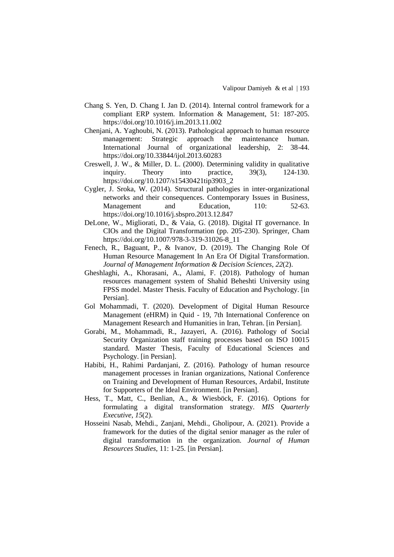- Chang S. Yen, D. Chang I. Jan D. (2014). Internal control framework for a compliant ERP system. Information & Management, 51: 187-205. <https://doi.org/10.1016/j.im.2013.11.002>
- Chenjani, A. Yaghoubi, N. (2013). Pathological approach to human resource management: Strategic approach the maintenance human. International Journal of organizational leadership, 2: 38-44. <https://doi.org/10.33844/ijol.2013.60283>
- Creswell, J. W., & Miller, D. L. (2000). Determining validity in qualitative inquiry. Theory into practice, 39(3), 124-130. [https://doi.org/10.1207/s15430421tip3903\\_2](https://doi.org/10.1207/s15430421tip3903_2)
- Cygler, J. Sroka, W. (2014). Structural pathologies in inter-organizational networks and their consequences. Contemporary Issues in Business, Management and Education, 110: 52-63. <https://doi.org/10.1016/j.sbspro.2013.12.847>
- DeLone, W., Migliorati, D., & Vaia, G. (2018). Digital IT governance. In CIOs and the Digital Transformation (pp. 205-230). Springer, Cham [https://doi.org/10.1007/978-3-319-31026-8\\_11](https://doi.org/10.1007/978-3-319-31026-8_11)
- Fenech, R., Baguant, P., & Ivanov, D. (2019). The Changing Role Of Human Resource Management In An Era Of Digital Transformation. *Journal of Management Information & Decision Sciences*, *22*(2).
- Gheshlaghi, A., Khorasani, A., Alami, F. (2018). Pathology of human resources management system of Shahid Beheshti University using FPSS model. Master Thesis. Faculty of Education and Psychology. [in Persian].
- Gol Mohammadi, T. (2020). Development of Digital Human Resource Management (eHRM) in Quid - 19, 7th International Conference on Management Research and Humanities in Iran, Tehran. [in Persian].
- Gorabi, M., Mohammadi, R., Jazayeri, A. (2016). Pathology of Social Security Organization staff training processes based on ISO 10015 standard. Master Thesis, Faculty of Educational Sciences and Psychology. [in Persian].
- Habibi, H., Rahimi Pardanjani, Z. (2016). Pathology of human resource management processes in Iranian organizations, National Conference on Training and Development of Human Resources, Ardabil, Institute for Supporters of the Ideal Environment. [in Persian].
- Hess, T., Matt, C., Benlian, A., & Wiesböck, F. (2016). Options for formulating a digital transformation strategy. *MIS Quarterly Executive*, *15*(2).
- Hosseini Nasab, Mehdi., Zanjani, Mehdi., Gholipour, A. (2021). Provide a framework for the duties of the digital senior manager as the ruler of digital transformation in the organization. *Journal of Human Resources Studies*, 11: 1-25. [in Persian].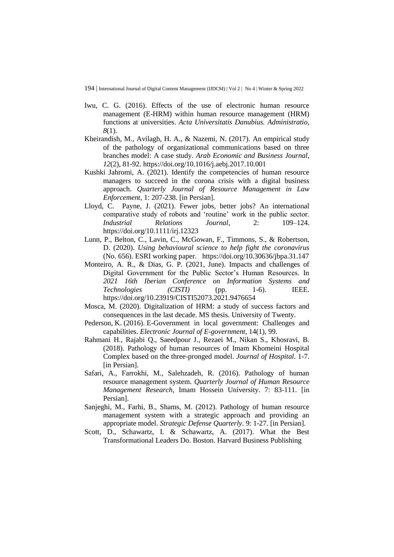- Iwu, C. G. (2016). Effects of the use of electronic human resource management (E-HRM) within human resource management (HRM) functions at universities. *Acta Universitatis Danubius. Administratio*, *8*(1).
- Kheirandish, M., Avilagh, H. A., & Nazemi, N. (2017). An empirical study of the pathology of organizational communications based on three branches model: A case study. *Arab Economic and Business Journal*, *12*(2), 81-92.<https://doi.org/10.1016/j.aebj.2017.10.001>
- Kushki Jahromi, A. (2021). Identify the competencies of human resource managers to succeed in the corona crisis with a digital business approach. *Quarterly Journal of Resource Management in Law Enforcement*, 1: 207-238. [in Persian].
- Lloyd, C. Payne, J. (2021). Fewer jobs, better jobs? An international comparative study of robots and 'routine' work in the public sector. *Industrial Relations Journal*, 2: 109–124. <https://doi.org/10.1111/irj.12323>
- Lunn, P., Belton, C., Lavin, C., McGowan, F., Timmons, S., & Robertson, D. (2020). *Using behavioural science to help fight the coronavirus* (No. 656). ESRI working paper. <https://doi.org/10.30636/jbpa.31.147>
- Monteiro, A. R., & Dias, G. P. (2021, June). Impacts and challenges of Digital Government for the Public Sector's Human Resources. In *2021 16th Iberian Conference on Information Systems and Technologies (CISTI)* (pp. 1-6). IEEE. <https://doi.org/10.23919/CISTI52073.2021.9476654>
- Mosca, M. (2020). Digitalization of HRM: a study of success factors and consequences in the last decade. MS thesis. University of Twenty.
- Pederson, K. (2016). E-Government in local government: Challenges and capabilities. *Electronic Journal of E-government*, 14(1), 99.
- Rahmani H., Rajabi Q., Saeedpour J., Rezaei M., Nikan S., Khosravi, B. (2018). Pathology of human resources of Imam Khomeini Hospital Complex based on the three-pronged model. *Journal of Hospital*. 1-7. [in Persian].
- Safari, A., Farrokhi, M., Salehzadeh, R. (2016). Pathology of human resource management system. *Quarterly Journal of Human Resource Management Research*, Imam Hossein University. 7: 83-111. [in Persian].
- Sanjeghi, M., Farhi, B., Shams, M. (2012). Pathology of human resource management system with a strategic approach and providing an appropriate model. *Strategic Defense Quarterly*. 9: 1-27. [in Persian].
- Scott, D., Schawartz, I. & Schawartz, A. (2017). What the Best Transformational Leaders Do. Boston. Harvard Business Publishing